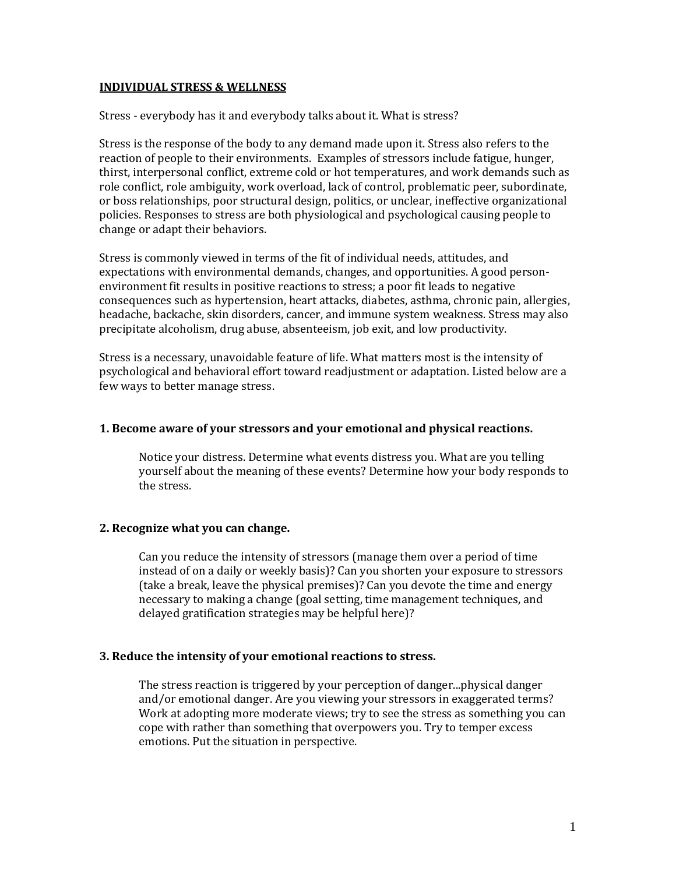### **INDIVIDUAL STRESS & WELLNESS**

Stress - everybody has it and everybody talks about it. What is stress?

Stress is the response of the body to any demand made upon it. Stress also refers to the reaction of people to their environments. Examples of stressors include fatigue, hunger, thirst, interpersonal conflict, extreme cold or hot temperatures, and work demands such as role conflict, role ambiguity, work overload, lack of control, problematic peer, subordinate, or boss relationships, poor structural design, politics, or unclear, ineffective organizational policies. Responses to stress are both physiological and psychological causing people to change or adapt their behaviors.

Stress is commonly viewed in terms of the fit of individual needs, attitudes, and expectations with environmental demands, changes, and opportunities. A good personenvironment fit results in positive reactions to stress; a poor fit leads to negative consequences such as hypertension, heart attacks, diabetes, asthma, chronic pain, allergies, headache, backache, skin disorders, cancer, and immune system weakness. Stress may also precipitate alcoholism, drug abuse, absenteeism, job exit, and low productivity.

Stress is a necessary, unavoidable feature of life. What matters most is the intensity of psychological and behavioral effort toward readjustment or adaptation. Listed below are a few ways to better manage stress.

### **1. Become aware of your stressors and your emotional and physical reactions.**

Notice your distress. Determine what events distress you. What are you telling yourself about the meaning of these events? Determine how your body responds to the stress.

# **2. Recognize what you can change.**

Can you reduce the intensity of stressors (manage them over a period of time instead of on a daily or weekly basis)? Can you shorten your exposure to stressors (take a break, leave the physical premises)? Can you devote the time and energy necessary to making a change (goal setting, time management techniques, and delayed gratification strategies may be helpful here)?

#### **3. Reduce the intensity of your emotional reactions to stress.**

The stress reaction is triggered by your perception of danger...physical danger and/or emotional danger. Are you viewing your stressors in exaggerated terms? Work at adopting more moderate views; try to see the stress as something you can cope with rather than something that overpowers you. Try to temper excess emotions. Put the situation in perspective.